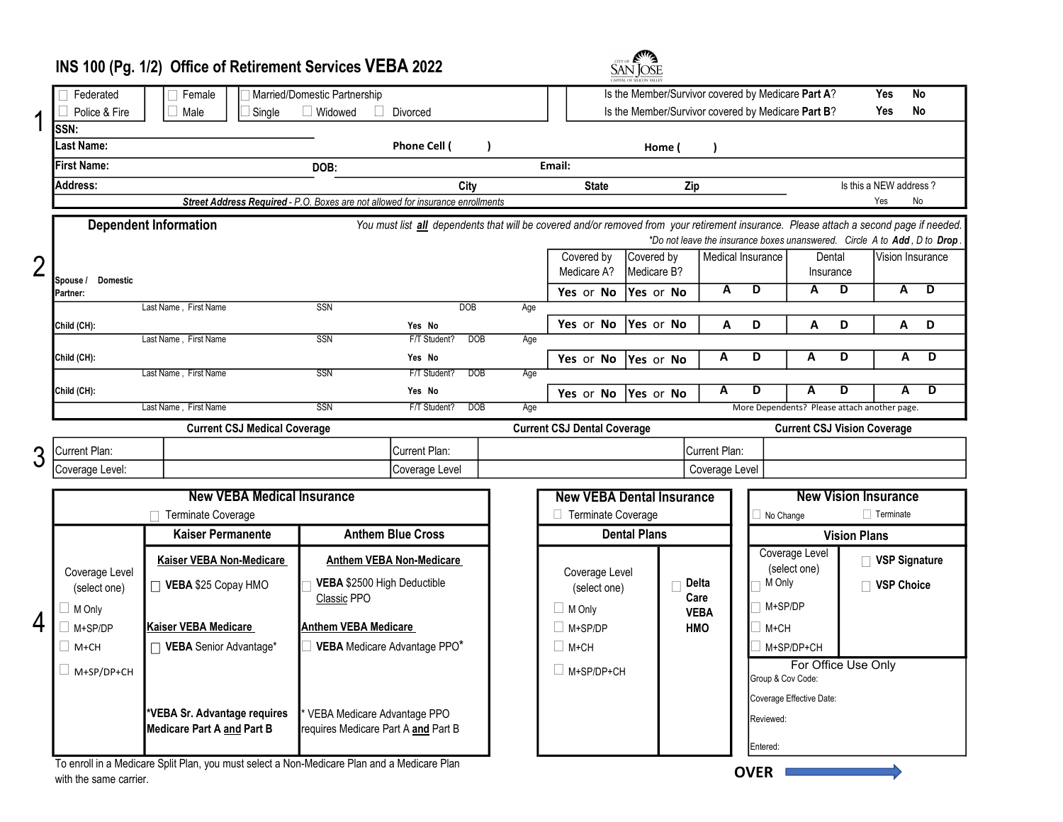# INS 100 (Pg. 1/2) Office of Retirement Services VEBA 2022



|                | CAPITAL OF SILICON VALLEY                                                                                                                                               |                                                                                |                                     |                              |                   |                                                                          |                                                    |                                                    |                           |                                      |                                              |                             | Yes               |                                                                          |
|----------------|-------------------------------------------------------------------------------------------------------------------------------------------------------------------------|--------------------------------------------------------------------------------|-------------------------------------|------------------------------|-------------------|--------------------------------------------------------------------------|----------------------------------------------------|----------------------------------------------------|---------------------------|--------------------------------------|----------------------------------------------|-----------------------------|-------------------|--------------------------------------------------------------------------|
| 1              | Federated<br>Married/Domestic Partnership<br>$\Box$ Female                                                                                                              |                                                                                |                                     |                              |                   |                                                                          |                                                    | Is the Member/Survivor covered by Medicare Part A? |                           |                                      |                                              |                             |                   | <b>No</b>                                                                |
|                | Police & Fire                                                                                                                                                           | $\Box$ Male<br>$\Box$ Widowed<br>Divorced<br>Single                            |                                     |                              |                   |                                                                          | Is the Member/Survivor covered by Medicare Part B? |                                                    |                           |                                      |                                              |                             | Yes               | <b>No</b>                                                                |
|                | SSN:                                                                                                                                                                    |                                                                                |                                     |                              |                   |                                                                          |                                                    |                                                    |                           |                                      |                                              |                             |                   |                                                                          |
|                | <b>Last Name:</b>                                                                                                                                                       |                                                                                |                                     | Phone Cell (                 |                   |                                                                          |                                                    | Home (                                             |                           |                                      |                                              |                             |                   |                                                                          |
|                | <b>First Name:</b>                                                                                                                                                      |                                                                                | Email:                              |                              |                   |                                                                          |                                                    |                                                    |                           |                                      |                                              |                             |                   |                                                                          |
|                | Address:                                                                                                                                                                |                                                                                |                                     |                              | City              |                                                                          | <b>State</b><br>Zip                                |                                                    |                           | Is this a NEW address?               |                                              |                             |                   |                                                                          |
|                |                                                                                                                                                                         | Street Address Required - P.O. Boxes are not allowed for insurance enrollments |                                     |                              |                   |                                                                          |                                                    |                                                    |                           |                                      |                                              |                             | Yes               | No                                                                       |
|                | <b>Dependent Information</b><br>You must list all dependents that will be covered and/or removed from your retirement insurance. Please attach a second page if needed. |                                                                                |                                     |                              |                   |                                                                          |                                                    |                                                    |                           |                                      |                                              |                             |                   |                                                                          |
|                |                                                                                                                                                                         |                                                                                |                                     |                              |                   |                                                                          |                                                    |                                                    |                           |                                      |                                              |                             |                   | *Do not leave the insurance boxes unanswered. Circle A to Add, D to Drop |
|                |                                                                                                                                                                         |                                                                                |                                     |                              |                   |                                                                          | Covered by                                         | Covered by                                         |                           | Medical Insurance                    | Dental                                       |                             |                   | Vision Insurance                                                         |
| $\overline{2}$ | <b>Domestic</b>                                                                                                                                                         |                                                                                |                                     |                              |                   |                                                                          | Medicare A?                                        | Medicare B?                                        |                           |                                      | Insurance                                    |                             |                   |                                                                          |
|                | Spouse /<br>Partner:                                                                                                                                                    |                                                                                |                                     |                              |                   |                                                                          | Yes or No                                          | Yes or No                                          | $\overline{\mathbf{A}}$   | $\overline{D}$                       | A                                            | D                           | $\overline{A}$    | $\overline{D}$                                                           |
|                |                                                                                                                                                                         | Last Name, First Name                                                          | <b>SSN</b>                          |                              | <b>DOB</b><br>Age |                                                                          |                                                    |                                                    |                           |                                      |                                              |                             |                   |                                                                          |
|                | Child (CH):                                                                                                                                                             |                                                                                |                                     | Yes No                       |                   |                                                                          | Yes or No                                          | Yes or No                                          | A                         | D                                    | A                                            | D                           | A                 | D                                                                        |
|                |                                                                                                                                                                         | Last Name, First Name                                                          | SSN                                 | F/T Student?                 | <b>DOB</b><br>Age |                                                                          |                                                    |                                                    |                           |                                      |                                              |                             |                   |                                                                          |
|                | Child (CH):                                                                                                                                                             |                                                                                |                                     | Yes No                       |                   |                                                                          | Yes or No                                          | Yes or No                                          | A                         | D                                    | A                                            | D                           | A                 | D                                                                        |
|                |                                                                                                                                                                         | Last Name, First Name                                                          | SSN                                 | F/T Student?                 | <b>DOB</b><br>Age |                                                                          |                                                    |                                                    |                           |                                      |                                              |                             |                   |                                                                          |
|                | Child (CH):                                                                                                                                                             |                                                                                |                                     | Yes No                       |                   |                                                                          | Yes or No                                          | Yes or No                                          | A                         | D                                    | A                                            | D                           | A                 | $\overline{\mathsf{D}}$                                                  |
|                |                                                                                                                                                                         | Last Name, First Name                                                          | SSN                                 | F/T Student?                 | <b>DOB</b><br>Age |                                                                          |                                                    |                                                    |                           |                                      | More Dependents? Please attach another page. |                             |                   |                                                                          |
|                | <b>Current CSJ Medical Coverage</b>                                                                                                                                     |                                                                                |                                     |                              |                   | <b>Current CSJ Dental Coverage</b><br><b>Current CSJ Vision Coverage</b> |                                                    |                                                    |                           |                                      |                                              |                             |                   |                                                                          |
| 3              | Current Plan:                                                                                                                                                           |                                                                                | Current Plan:                       |                              | Current Plan:     |                                                                          |                                                    |                                                    |                           |                                      |                                              |                             |                   |                                                                          |
|                | Coverage Level:                                                                                                                                                         |                                                                                |                                     | Coverage Level               |                   |                                                                          |                                                    |                                                    | Coverage Level            |                                      |                                              |                             |                   |                                                                          |
|                | <b>New VEBA Medical Insurance</b>                                                                                                                                       |                                                                                |                                     |                              |                   |                                                                          | <b>New VEBA Dental Insurance</b>                   |                                                    |                           |                                      |                                              | <b>New Vision Insurance</b> |                   |                                                                          |
|                | Terminate Coverage                                                                                                                                                      |                                                                                |                                     |                              |                   |                                                                          | Terminate Coverage                                 |                                                    |                           | $\Box$ Terminate<br>$\Box$ No Change |                                              |                             |                   |                                                                          |
|                |                                                                                                                                                                         | <b>Kaiser Permanente</b>                                                       | <b>Anthem Blue Cross</b>            |                              |                   | <b>Dental Plans</b>                                                      |                                                    |                                                    |                           | <b>Vision Plans</b>                  |                                              |                             |                   |                                                                          |
| 4              |                                                                                                                                                                         |                                                                                |                                     |                              |                   |                                                                          |                                                    |                                                    |                           | Coverage Level<br>(select one)       |                                              |                             |                   |                                                                          |
|                | Coverage Level                                                                                                                                                          | Kaiser VEBA Non-Medicare                                                       | <b>Anthem VEBA Non-Medicare</b>     |                              |                   | Coverage Level                                                           |                                                    |                                                    |                           |                                      |                                              | □ VSP Signature             |                   |                                                                          |
|                | (select one)                                                                                                                                                            | □ VEBA \$25 Copay HMO                                                          |                                     | VEBA \$2500 High Deductible  |                   |                                                                          | (select one)                                       |                                                    | Delta                     | M Only                               |                                              |                             | <b>VSP Choice</b> |                                                                          |
|                | $\Box$ M Only                                                                                                                                                           | Classic PPO                                                                    |                                     |                              |                   |                                                                          | $\Box$ M Only                                      |                                                    | Care                      | M+SP/DP                              |                                              |                             |                   |                                                                          |
|                | $\Box$ M+SP/DP                                                                                                                                                          | Kaiser VEBA Medicare<br><b>Anthem VEBA Medicare</b>                            |                                     |                              |                   |                                                                          | $\Box$ M+SP/DP                                     |                                                    | <b>VEBA</b><br><b>HMO</b> | M+CH                                 |                                              |                             |                   |                                                                          |
|                | M+CH                                                                                                                                                                    | □ VEBA Senior Advantage*                                                       |                                     | VEBA Medicare Advantage PPO* |                   |                                                                          |                                                    |                                                    |                           |                                      |                                              |                             |                   |                                                                          |
|                |                                                                                                                                                                         |                                                                                |                                     |                              |                   |                                                                          | ∣ I M+CH                                           |                                                    |                           |                                      | M+SP/DP+CH                                   |                             |                   |                                                                          |
|                | $\Box$ M+SP/DP+CH                                                                                                                                                       |                                                                                |                                     |                              |                   |                                                                          | $\Box$ M+SP/DP+CH                                  |                                                    |                           |                                      | For Office Use Only<br>Group & Cov Code:     |                             |                   |                                                                          |
|                |                                                                                                                                                                         |                                                                                |                                     |                              |                   |                                                                          |                                                    |                                                    |                           |                                      | Coverage Effective Date:                     |                             |                   |                                                                          |
|                |                                                                                                                                                                         | *VEBA Sr. Advantage requires                                                   | VEBA Medicare Advantage PPO         |                              |                   |                                                                          |                                                    |                                                    |                           | Reviewed:                            |                                              |                             |                   |                                                                          |
|                |                                                                                                                                                                         | <b>Medicare Part A and Part B</b>                                              | requires Medicare Part A and Part B |                              |                   |                                                                          |                                                    |                                                    |                           |                                      |                                              |                             |                   |                                                                          |
|                |                                                                                                                                                                         |                                                                                |                                     |                              |                   |                                                                          |                                                    |                                                    |                           | Entered:                             |                                              |                             |                   |                                                                          |

To enroll in a Medicare Split Plan, you must select a Non-Medicare Plan and a Medicare Plan with the same carrier.